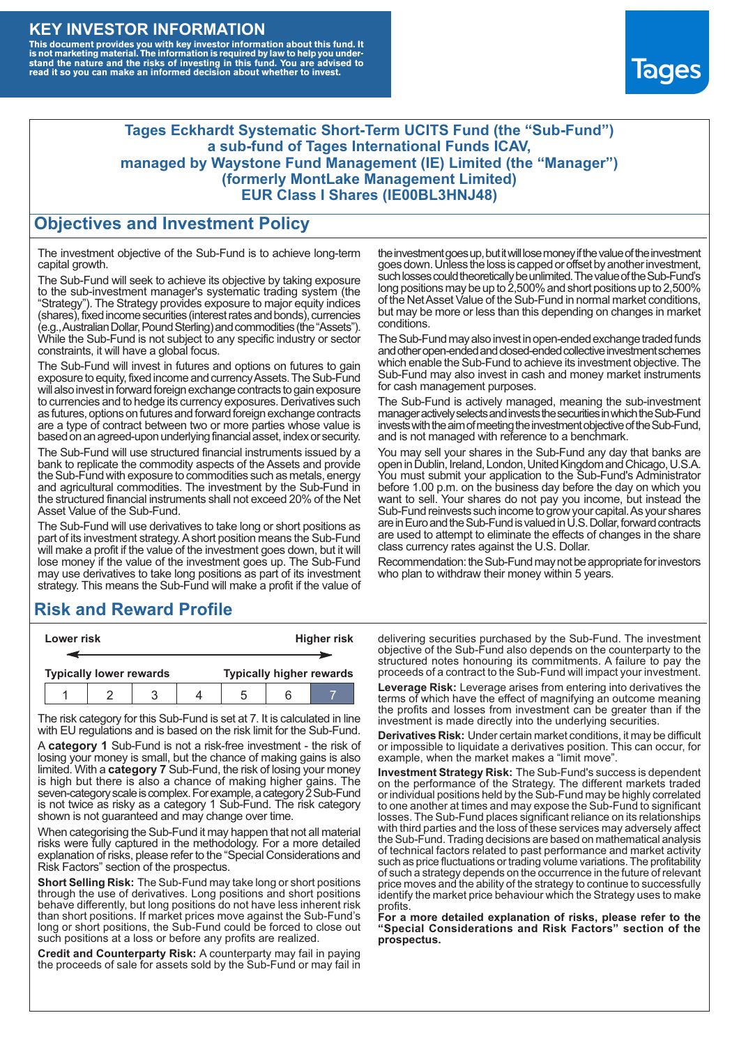### **KEY INVESTOR INFORMATION**

This document provides you with key investor information about this fund. It<br>is not marketing material. The information is required by law to help you under-<br>stand the nature and the risks of investing in this fund. You ar



#### **Tages Eckhardt Systematic Short-Term UCITS Fund (the "Sub-Fund") a sub-fund of Tages International Funds ICAV, managed by Waystone Fund Management (IE) Limited (the "Manager") (formerly MontLake Management Limited) EUR Class I Shares (IE00BL3HNJ48)**

#### **Objectives and Investment Policy**

The investment objective of the Sub-Fund is to achieve long-term capital growth.

The Sub-Fund will seek to achieve its objective by taking exposure to the sub-investment manager's systematic trading system (the "Strategy"). The Strategy provides exposure to major equity indices (shares),fixed income securities (interest rates and bonds), currencies (e.g.,AustralianDollar,PoundSterling)and commodities (the "Assets"). While the Sub-Fund is not subject to any specific industry or sector constraints, it will have a global focus.

The Sub-Fund will invest in futures and options on futures to gain exposure to equity, fixed income and currency Assets. The Sub-Fund will also invest in forward foreign exchange contracts to gain exposure to currencies and to hedge its currency exposures. Derivatives such as futures, options on futures and forward foreign exchange contracts are a type of contract between two or more parties whose value is based on an agreed-upon underlying financial asset, index or security.

The Sub-Fund will use structured financial instruments issued by a bank to replicate the commodity aspects of the Assets and provide the Sub-Fund with exposure to commodities such as metals, energy and agricultural commodities. The investment by the Sub-Fund in the structured financial instruments shall not exceed 20% of the Net Asset Value of the Sub-Fund.

The Sub-Fund will use derivatives to take long or short positions as part of its investment strategy.A short position means the Sub-Fund will make a profit if the value of the investment goes down, but it will lose money if the value of the investment goes up. The Sub-Fund may use derivatives to take long positions as part of its investment strategy. This means the Sub-Fund will make a profit if the value of

## **Risk and Reward Profile**

| Lower risk |  |                                |  |  | <b>Higher risk</b> |  |                                 |
|------------|--|--------------------------------|--|--|--------------------|--|---------------------------------|
|            |  |                                |  |  |                    |  |                                 |
|            |  | <b>Typically lower rewards</b> |  |  |                    |  | <b>Typically higher rewards</b> |
|            |  |                                |  |  | .5                 |  |                                 |

The risk category for this Sub-Fund is set at 7. It is calculated in line with EU regulations and is based on the risk limit for the Sub-Fund.

A **category 1** Sub-Fund is not a risk-free investment - the risk of losing your money is small, but the chance of making gains is also limited. With a **category 7** Sub-Fund, the risk of losing your money is high but there is also a chance of making higher gains. The seven-category scale is complex. For example, a category 2 Sub-Fund is not twice as risky as a category 1 Sub-Fund. The risk category shown is not guaranteed and may change over time.

When categorising the Sub-Fund it may happen that not all material risks were fully captured in the methodology. For a more detailed explanation of risks, please refer to the "Special Considerations and Risk Factors" section of the prospectus.

**Short Selling Risk:** The Sub-Fund may take long or short positions through the use of derivatives. Long positions and short positions behave differently, but long positions do not have less inherent risk than short positions. If market prices move against the Sub-Fund's long or short positions, the Sub-Fund could be forced to close out such positions at a loss or before any profits are realized.

**Credit and Counterparty Risk:** A counterparty may fail in paying the proceeds of sale for assets sold by the Sub-Fund or may fail in the investment goes up, but it will lose money if the value of the investment goes down. Unlessthe loss is capped or offset by another investment, such losses could theoretically be unlimited. The value of the Sub-Fund's long positions may be up to  $2,500\%$  and short positions up to  $2,500\%$ of the NetAsset Value of the Sub-Fund in normal market conditions, but may be more or less than this depending on changes in market conditions.

The Sub-Fund may also invest in open-ended exchange traded funds and other open-ended and closed-ended collective investment schemes which enable the Sub-Fund to achieve its investment objective. The Sub-Fund may also invest in cash and money market instruments for cash management purposes.

The Sub-Fund is actively managed, meaning the sub-investment manager actively selects and invests the securities in which the Sub-Fund invests with the aim of meeting the investment objective of the Sub-Fund, and is not managed with reference to a benchmark.

You may sell your shares in the Sub-Fund any day that banks are open in Dublin, Ireland, London, United Kingdom and Chicago, U.S.A. You must submit your application to the Sub-Fund's Administrator before 1.00 p.m. on the business day before the day on which you want to sell. Your shares do not pay you income, but instead the Sub-Fund reinvests such income to grow your capital. As your shares are in Euro and the Sub-Fund is valued in U.S. Dollar, forward contracts are used to attempt to eliminate the effects of changes in the share class currency rates against the U.S. Dollar.

Recommendation: the Sub-Fund may not be appropriate for investors who plan to withdraw their money within 5 years.

delivering securities purchased by the Sub-Fund. The investment objective of the Sub-Fund also depends on the counterparty to the structured notes honouring its commitments. A failure to pay the proceeds of a contract to the Sub-Fund will impact your investment.

**Leverage Risk:** Leverage arises from entering into derivatives the terms of which have the effect of magnifying an outcome meaning the profits and losses from investment can be greater than if the investment is made directly into the underlying securities.

**Derivatives Risk:** Under certain market conditions, it may be difficult or impossible to liquidate a derivatives position. This can occur, for example, when the market makes a "limit move".

**Investment Strategy Risk:** The Sub-Fund's success is dependent on the performance of the Strategy. The different markets traded or individual positions held by the Sub-Fund may be highly correlated to one another at times and may expose the Sub-Fund to significant losses. The Sub-Fund places significant reliance on its relationships with third parties and the loss of these services may adversely affect the Sub-Fund. Trading decisions are based on mathematical analysis of technical factors related to past performance and market activity such as price fluctuations or trading volume variations. The profitability of such a strategy depends on the occurrence in the future of relevant price moves and the ability of the strategy to continue to successfully identify the market price behaviour which the Strategy uses to make profits.

**For a more detailed explanation of risks, please refer to the "Special Considerations and Risk Factors" section of the prospectus.**